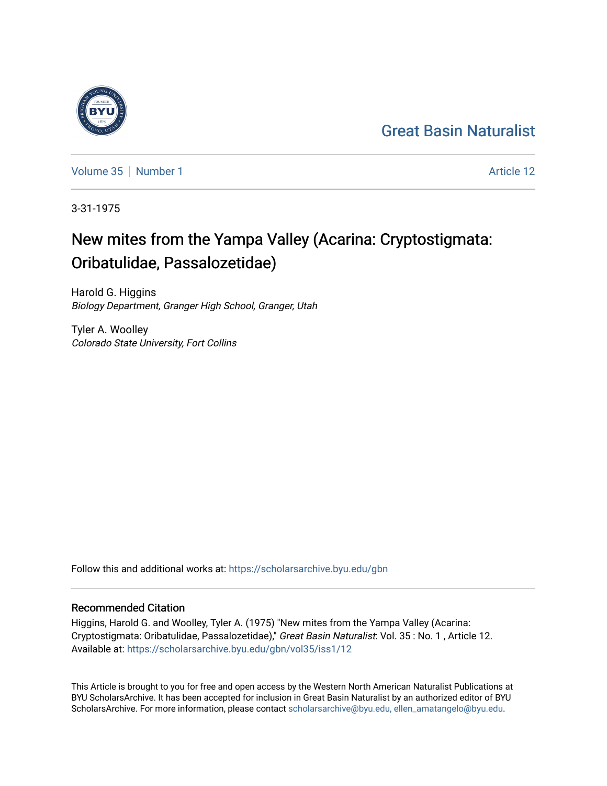## [Great Basin Naturalist](https://scholarsarchive.byu.edu/gbn)

[Volume 35](https://scholarsarchive.byu.edu/gbn/vol35) [Number 1](https://scholarsarchive.byu.edu/gbn/vol35/iss1) Article 12

3-31-1975

# New mites from the Yampa Valley (Acarina: Cryptostigmata: Oribatulidae, Passalozetidae)

Harold G. Higgins Biology Department, Granger High School, Granger, Utah

Tyler A. Woolley Colorado State University, Fort Collins

Follow this and additional works at: [https://scholarsarchive.byu.edu/gbn](https://scholarsarchive.byu.edu/gbn?utm_source=scholarsarchive.byu.edu%2Fgbn%2Fvol35%2Fiss1%2F12&utm_medium=PDF&utm_campaign=PDFCoverPages) 

### Recommended Citation

Higgins, Harold G. and Woolley, Tyler A. (1975) "New mites from the Yampa Valley (Acarina: Cryptostigmata: Oribatulidae, Passalozetidae)," Great Basin Naturalist: Vol. 35 : No. 1 , Article 12. Available at: [https://scholarsarchive.byu.edu/gbn/vol35/iss1/12](https://scholarsarchive.byu.edu/gbn/vol35/iss1/12?utm_source=scholarsarchive.byu.edu%2Fgbn%2Fvol35%2Fiss1%2F12&utm_medium=PDF&utm_campaign=PDFCoverPages) 

This Article is brought to you for free and open access by the Western North American Naturalist Publications at BYU ScholarsArchive. It has been accepted for inclusion in Great Basin Naturalist by an authorized editor of BYU ScholarsArchive. For more information, please contact [scholarsarchive@byu.edu, ellen\\_amatangelo@byu.edu.](mailto:scholarsarchive@byu.edu,%20ellen_amatangelo@byu.edu)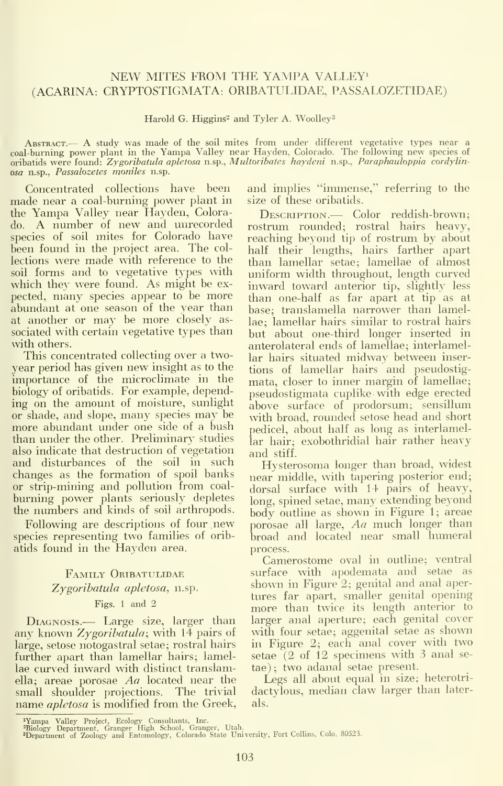#### NEW MITES FROM THE YAMPA VALLEY<sup>1</sup> (ACARINA: CRYPTOSTIGMATA: ORIBATULIDAE, PASSALOZETIDAE)

Harold G. Higgins<sup>2</sup> and Tyler A. Woolley<sup>3</sup>

ABSTRACT.— A study was made of the soil mites from under different vegetative types near a coal-burning power plant in the Yampa Valley near Hayden, Colorado. The following new species of oribatids were found: Zygoribatida osa n.sp., Passalozetes moniles n.sp.

Concentrated collections have been made near a coal-burning power plant in the Yampa Valley near Hayden, Colorado. A number of new and unrecorded species of soil mites for Colorado have been found in the project area. The col lections were made with reference to the soil forms and to vegetative types with which they were found. As might be ex pected, many species appear to be more abundant at one season of the year than at another or may be more closely as sociated with certain vegetative types than with others.

This concentrated collecting over a two year period has given new insight as to the importance of the microclimate in the biology of oribatids. For example, depending on the amount of moisture, sunlight or shade, and slope, many species may be more abundant under one side of a bush than under the other. Preliminary studies also indicate that destruction of vegetation and disturbances of the soil in such changes as the formation of spoil banks or strip-mining and pollution from coal burning power plants seriously depletes the numbers and kinds of soil arthropods.

Following are descriptions of four new species representing two families of oribatids found in the Hayden area.

#### Family Oribatulidae Zygoribatula apletosa, n.sp. Figs. <sup>1</sup> and 2

DIAGNOSIS.— Large size, larger than any known Zygoribatula; with 14 pairs of large, setose notogastral setae; rostral hairs further apart than lamellar hairs; lamellae curved inward with distinct translamella; areae porosae Aa located near the small shoulder projections. The trivial name *apletosa* is modified from the Greek,

and implies "immense," referring to the size of these oribatids.

DESCRIPTION.— Color reddish-brown; rostrum rounded; rostral hairs heavy, reaching beyond tip of rostrum by about half their lengths, hairs farther apart than lamellar setae; lamellae of almost uniform width throughout, length curved inward toward anterior tip, slightly less than one-half as far apart at tip as at<br>base; translamella narrower than lamellae; lamellar hairs similar to rostral hairs but about one-third longer inserted in anterolateral ends of lamellae; interlamellar hairs situated midway between inser tions of lamellar hairs and pseudostig mata, closer to inner margin of lamellae; pseudostigmata cuplike with edge erected above surface of prodorsum; sensillum with broad, rounded setose head and short pedicel, about half as long as interlamellar hair; exobothridial hair rather heavy and stiff.

Hysterosoma longer than broad, widest near middle, with tapering posterior end; dorsal surface with 14 pairs of heavy, long, spined setae, many extending beyond body outline as shown in Figure 1; areae porosae all large,  $Aa$  much longer than broad and located near small humeral process.

Camerostome oval in outline; ventral surface with apodemata and setae as shown in Figure 2; genital and anal apertures far apart, smaller genital opening more than twice its length anterior to larger anal aperture; each genital cover with four setae; aggenital setae as shown in Figure 2; each anal cover with two setae (2 of 12 specimens with 3 anal se tae) ; two adanal setae present.

Legs all about equal in size; heterotri dactylous, median claw larger than laterals.

<sup>&</sup>lt;sup>1</sup>Yampa Valley Project, Ecology Consultants, Inc.<br>"Biology Department, Granger High School, Granger, Utah.<br>"Department of Zoology and Entomology, Colorado State University, Fort Collins, Colo. 80523.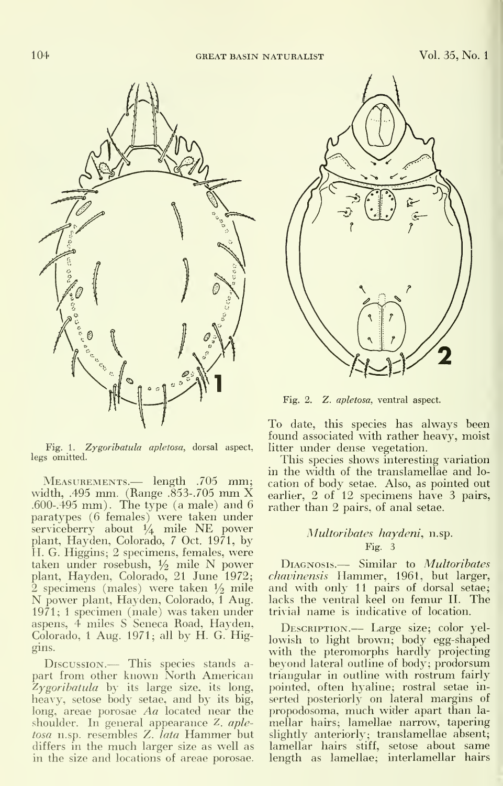

Fig. 1. Zygoribatula apletosa, dorsal aspect, legs omitted.

Measurements.— length .705 mm; width, .495 mm. (Range .853-.705 mm X .600-. 495 mm). The type (a male) and 6 paratypes (6 females) were taken under serviceberry about 1/4 mile NE power plant, Hayden, Colorado, 7 Oct. 1971, by H. G. Higgins; 2 specimens, females, were taken under rosebush,  $\frac{1}{2}$  mile N power plant, Hayden, Colorado, 21 June 1972;<br>2 specimens (males) were taken  $1/2$  mile N power plant, Hayden, Colorado, 1 Aug. 1971; <sup>1</sup> specimen (male) was taken under aspens, 4 miles S Seneca Road, Hayden,  $Colorado, 1 Aug. 1971; all by H. G. Hig$ gins.

Discussion.— This species stands a part from other known North American  $Zygori batula$  by its large size, its long, heavy, setose body setae, and by its big, long, areae porosae Aa located near the shoulder. In general appearance Z. apletosa n.sp. resembles Z. lata Hammer but differs in the much larger size as well as in the size and locations of areae porosae.



Fig. 2. Z. apletosa, ventral aspect.

To date, this species has always been found associated with rather heavy, moist litter under dense vegetation.

This species shows interesting variation in the width of the translamellae and lo cation of body setae. Also, as pointed out earlier, 2 of 12 specimens have 3 pairs, rather than 2 pairs, of anal setae.

#### Multoribates haydeni, n.sp. Fig. 3

DIAGNOSIS.- Similar to Multoribates chavinensis Hammer, 1961, but larger, and with only 11 pairs of dorsal setae; lacks the ventral keel on femur II. The trivial name is indicative of location.

DESCRIPTION.- Large size; color yellowish to light brown; body egg-shaped with the pteromorphs hardly projecting beyond lateral outline of body; prodorsum triangular in outline with rostrum fairly pointed, often hyaline; rostral setae in serted posteriorly on lateral margins of propodosoma, much wider apart than la mellar hairs; lamellae narrow, tapering slightly anteriorly; translamellae absent; lamellar hairs stiff, setose about same length as lamellae; interlamellar hairs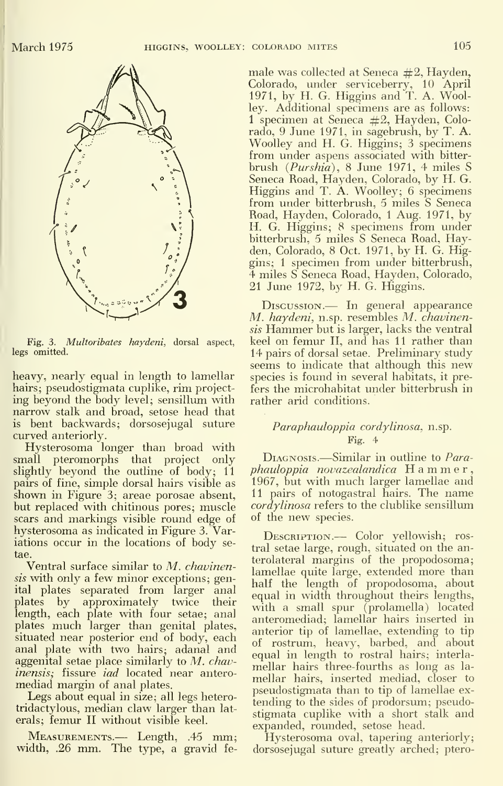

Fig. 3. Multoribates haydeni, dorsal aspect, legs omitted.

heavy, nearly equal in length to lamellar hairs; pseudostigmata cuplike, rim projecting beyond the body level; sensillum with narrow stalk and broad, setose head that is bent backwards; dorsosejugal suture curved anteriorly.

Hysterosoma longer than broad with<br>small pteromorphs that project only DIAGNOSIS.—Similar in outline to Parapteromorphs that project only slightly beyond the outline of body; 11 pairs of fine, simple dorsal hairs visible as shown in Figure 3; areae porosae absent, but replaced with chitinous pores; muscle scars and markings visible round edge of hysterosoma as indicated in Figure 3. Variations occur in the locations of body se tae.

Ventral surface similar to M. chavinensis with only a few minor exceptions; genital plates separated from larger anal plates by approximately twice their length, each plate with four setae; ana] plates much larger than genital plates, situated near posterior end of body, each anal plate with two hairs; adanal and aggenital setae place similarly to  $M$ . chavinensis; fissure iad located near antero mediad margin of anal plates.

Legs about equal in size; all legs heterotridactylous, median claw larger than lat erals; femur II without visible keel.

Measurements.— Length, .45 mm; width, .26 mm. The type, <sup>a</sup> gravid female was collected at Seneca  $#2$ , Hayden, Colorado, under serviceberry, 10 April 1971, by H. G. Higgins and T. A. Woolley. Additional specimens are as follows: 1 specimen at Seneca  $#2$ , Hayden, Colorado, 9 June 1971, in sagebrush, by T. A. Woolley and H. G. Higgins; 3 specimens from under aspens associated with bitter brush (Purshia), 8 June 1971, 4 miles S Seneca Road, Hayden, Colorado, by H. G. Higgins and T. A. Woolley; 6 specimens from under bitterbrush, 5 miles S Seneca Road, Hayden, Colorado, <sup>1</sup> Aug. 1971, by H. G. Higgins; 8 specimens from under bitterbrush, 5 miles S Seneca Road, Hayden, Colorado, 8 Oct. 1971, by H. G. Higgins; <sup>1</sup> specimen from under bitterbrush, 4 miles S Seneca Road, Hayden, Colorado, 21 June 1972, by H. G. Higgins.

Discussion.— In general appearance M. haydeni, n.sp. resembles M. chavinensis Hammer but is larger, lacks the ventral keel on femur II, and has 11 rather than 14 pairs of dorsal setae. Preliminary study seems to indicate that although this new species is found in several habitats, it prefers the microhabitat under bitterbrush in rather arid conditions.

#### Paraphauloppia cordylinosa, n.sp. Fig. 4

 $phauloppia novazealandica$  Hammer, 1967, but with much larger lamellae and II pairs of notogastral hairs. The name  $\alpha$  *cordylinosa* refers to the clublike sensillum of the new species.

DESCRIPTION.— Color yellowish; rostral setae large, rough, situated on the anterolateral margins of the propodosoma; lamellae quite large, extended more than half the length of propodosoma, about equal in width throughout theirs lengths, with a small spur (prolamella) located anteromediad; lamellar hairs inserted in anterior tip of lamellae, extending to tip of rostrum, heavy, barbed, and about equal in length to rostral hairs; interla mellar hairs three-fourths as long as la mellar hairs, inserted mediad, closer to pseudostigmata than to tip of lamellae ex tending to the sides of prodorsum; pseudostigmata cuplike with a short stalk and expanded, rounded, setose head.

Hysterosoma oval, tapering anteriorly; dorsosejugal suture greatly arched; ptero-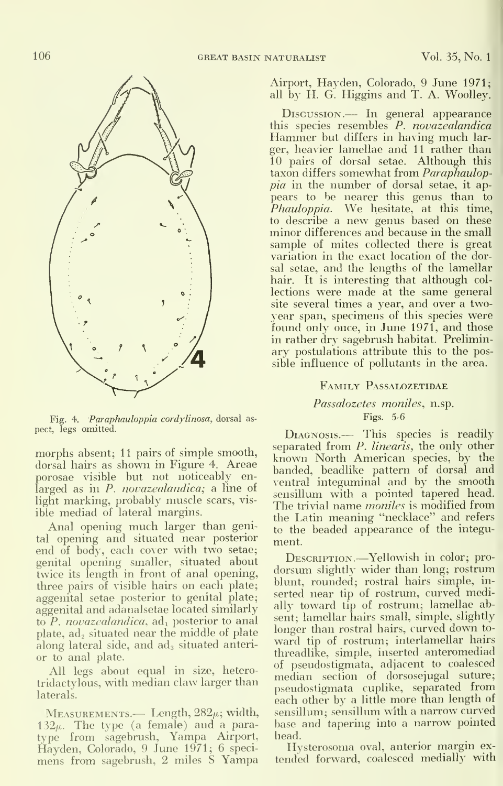

Fig. 4. Paraphauloppia cordylinosa, dorsal as pect, legs omitted.

morphs absent; 11 pairs of simple smooth, dorsal hairs as shown in Figure 4. Areae porosae visible but not noticeably en larged as in P. *novazealandica*; a line of light marking, probably muscle scars, vis ible mediad of lateral margins.

Anal opening much larger than genital opening and situated near posterior end of body, each cover with two setae; genital opening smaller, situated about twice its length in front of anal opening, three pairs of visible hairs on each plate; aggenital setae posterior to genital plate; aggenital and adanalsetae located similarly to  $P$ . novazealandica,  $ad_1$  posterior to anal plate,  $ad<sub>2</sub>$  situated near the middle of plate along lateral side, and ad<sub>3</sub> situated anterior to anal plate.

All legs about equal in size, heterotridactylous, with median claw larger than laterals.

 $M$ EASUREMENTS.— Length,  $282\mu$ ; width,  $132\mu$ . The type (a female) and a paratype from sagebrush, Yampa Airport, Hayden, Colorado, 9 June 1971; 6 speci mens from sagebrush, 2 miles <sup>S</sup> Yampa Airport, Hayden, Colorado, 9 June 1971; all by H. G. Higgins and T. A. Woolley.

Discussion.— In general appearance<br>this species resembles P. novazealandica Hammer but differs in having much larger, heavier lamellae and 11 rather than 10 pairs of dorsal setae. Although this taxon differs somewhat from Paraphauloppia in the number of dorsal setae, it ap pears to be nearer this genus than to Phauloppia. We hesitate, at this time, to describe <sup>a</sup> new genus based on these minor differences and because in the small sample of mites collected there is great variation in the exact location of the dorsal setae, and the lengths of the lamellar hair. It is interesting that although col lections were made at the same general site several times a year, and over a two year span, specimens of this species were found only once, in June 1971, and those in rather dry sagebrush habitat. Prelimin ary postulations attribute this to the possible influence of pollutants in the area.

#### Family Passalozetidae

#### Passalozetes moniles, n.sp. Figs. 5-6

DIAGNOSIS.- This species is readily separated from P. linearis, the only other known North American species, by the banded, beadlike pattern of dorsal and ventral integuminal and by the smooth sensillum with a pointed tapered head. The trivial name *moniles* is modified from the Latin meaning "necklace" and refers to the beaded appearance of the integu ment.

Description.—Yellowish in color; prodorsum slightly wider than long; rostrum blunt, rounded; rostral hairs simple, in serted near tip of rostrum, curved medially toward tip of rostrum; lamellae absent; lamellar hairs small, simple, slightly longer than rostral hairs, curved down to ward tip of rostrum; interlamellar hairs threadlike, simple, inserted anteromediad of pseudostigmata, adjacent to coalesced median section of dorsosejugal suture; pseudostigmata cuplike, separated from each other by <sup>a</sup> little more than length of sensillum; sensillum with <sup>a</sup> narrow curved base and tapering into <sup>a</sup> narrow pointed head.

Hysterosoma oval, anterior margin ex tended forward, coalesced medially with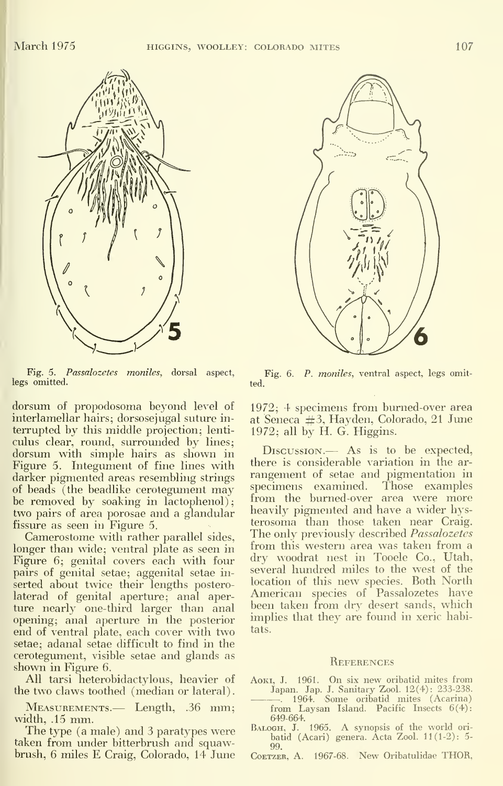

Fig. 5. Passalozetes moniles, dorsal aspect, legs omitted.

dorsum of propodosoma beyond level of interlamellar hairs; dorsosejugal suture in terrupted by this middle projection; lenti culus clear, round, surrounded by lines; dorsum with simple hairs as shown in Figure 5. Integument of fine lines with darker pigmented areas resembling strings of beads (the beadlike cerotegument may be removed by soaking in lactophenol); two pairs of area porosae and a glandular fissure as seen in Figure 5.

Camerostome with rather parallel sides, longer than wide; ventral plate as seen in Figure 6; genital covers each with four pairs of genital setae; aggenital setae in serted about twice their lengths posterolaterad of genital aperture; anal aperture nearly one-third larger than anal opening; anal aperture in the posterior end of ventral plate, each cover with two setae; adanal setae difficult to find in the cerotegument, visible setae and glands as shown in Figure 6.

All tarsi heterobidactylous, heavier of the two claws toothed (median or lateral)

Measurements.— Length, .36 mm; width, .15 mm.

The type (a male) and 3 paratypes were taken from under bitterbrush and squawbrush, <sup>6</sup> miles E Craig, Colorado, 14 June



Fig. 6. P. moniles, ventral aspect, legs omit-

1972; 4 specimens from burned-over area at Seneca #3, Hayden, Colorado, 21 June  $1972$ ; all by H. G. Higgins.

Discussion.— As is to be expected, there is considerable variation in the ar rangement of setae and pigmentation in specimens examined. Those examples<br>from the burned-over area were more heavily pigmented and have a wider hys terosoma than those taken near Craig. The only previously described *Passalozetes* from this western area was taken from a dry woodrat nest in Tooele Co., Utah, several hundred miles to the west of the location of this new species. Both North American species of Passalozetes have been taken from dry desert sands, which implies that they are found in xeric habitats.

#### **REFERENCES**

- Aoki, J. 1961. On six new oribatid mites from Japan. Jap. J. Sanitary Zool. 12(4): 233-238. . 1964. Some oribatid mites (Acarina)
- from Laysan Island. Pacific Insects 6(4): 649-664.
- Balogh, J. 1965. A synopsis of the world ori batid (Acari) genera. Acta Zool. 11(1-2): 5-
- 99. CoETZER, A. 1967-68. New Oribatulidae THOR,